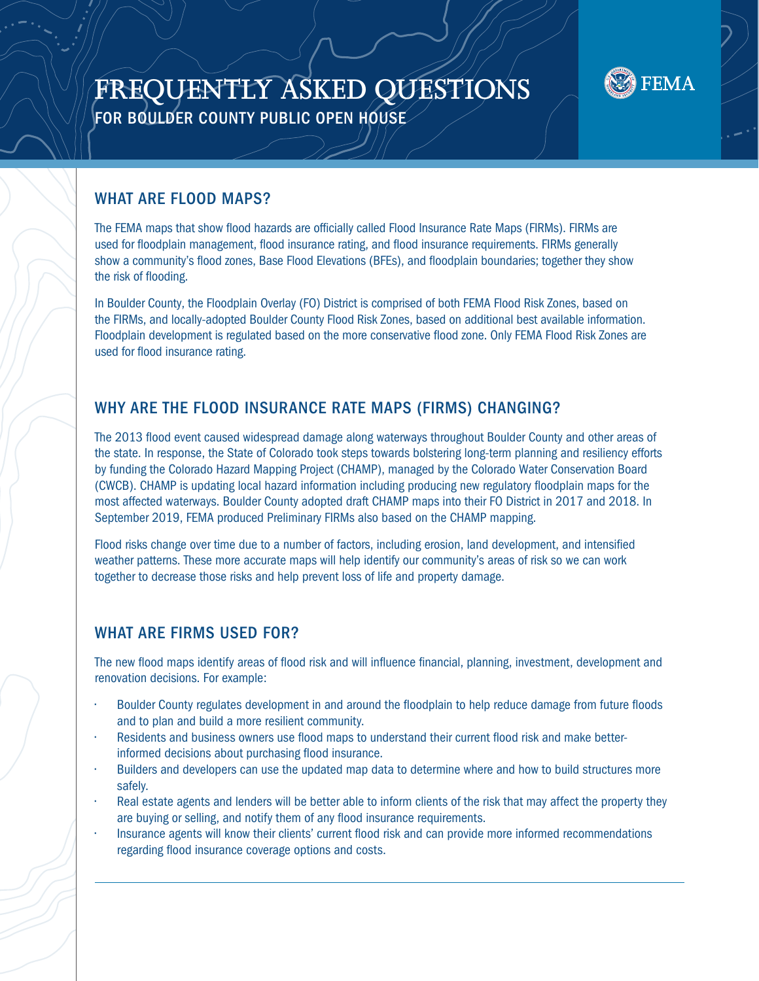# **FREQUENTLY ASKED QUESTIONS** FOR BOULDER COUNTY PUBLIC OPEN HOUSE



#### WHAT ARE FLOOD MAPS?

The FEMA maps that show flood hazards are officially called Flood Insurance Rate Maps (FIRMs). FIRMs are used for floodplain management, flood insurance rating, and flood insurance requirements. FIRMs generally show a community's flood zones, Base Flood Elevations (BFEs), and floodplain boundaries; together they show the risk of flooding.

In Boulder County, the Floodplain Overlay (FO) District is comprised of both FEMA Flood Risk Zones, based on the FIRMs, and locally-adopted Boulder County Flood Risk Zones, based on additional best available information. Floodplain development is regulated based on the more conservative flood zone. Only FEMA Flood Risk Zones are used for flood insurance rating.

## WHY ARE THE FLOOD INSURANCE RATE MAPS (FIRMS) CHANGING?

The 2013 flood event caused widespread damage along waterways throughout Boulder County and other areas of the state. In response, the State of Colorado took steps towards bolstering long-term planning and resiliency efforts by funding the Colorado Hazard Mapping Project (CHAMP), managed by the Colorado Water Conservation Board (CWCB). CHAMP is updating local hazard information including producing new regulatory floodplain maps for the most affected waterways. Boulder County adopted draft CHAMP maps into their FO District in 2017 and 2018. In September 2019, FEMA produced Preliminary FIRMs also based on the CHAMP mapping.

Flood risks change over time due to a number of factors, including erosion, land development, and intensified weather patterns. These more accurate maps will help identify our community's areas of risk so we can work together to decrease those risks and help prevent loss of life and property damage.

#### WHAT ARE FIRMS USED FOR?

The new flood maps identify areas of flood risk and will influence financial, planning, investment, development and renovation decisions. For example:

- Boulder County regulates development in and around the floodplain to help reduce damage from future floods and to plan and build a more resilient community.
- Residents and business owners use flood maps to understand their current flood risk and make betterinformed decisions about purchasing flood insurance.
- Builders and developers can use the updated map data to determine where and how to build structures more safely.
- Real estate agents and lenders will be better able to inform clients of the risk that may affect the property they are buying or selling, and notify them of any flood insurance requirements.
- Insurance agents will know their clients' current flood risk and can provide more informed recommendations regarding flood insurance coverage options and costs.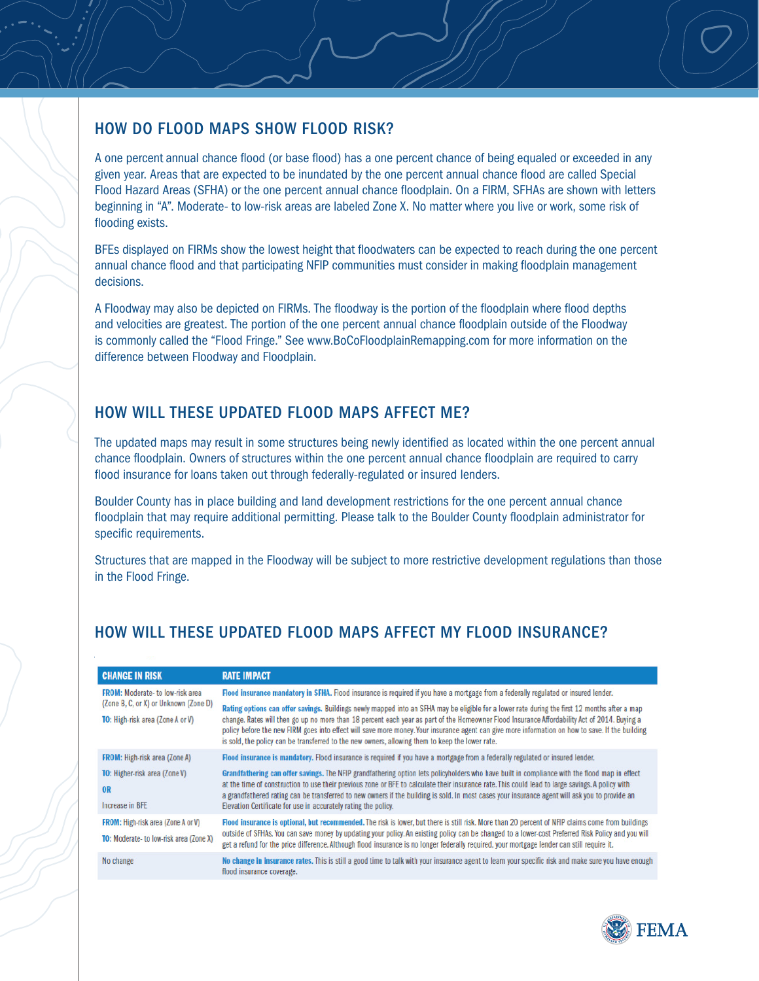#### HOW DO FLOOD MAPS SHOW FLOOD RISK?

A one percent annual chance flood (or base flood) has a one percent chance of being equaled or exceeded in any given year. Areas that are expected to be inundated by the one percent annual chance flood are called Special Flood Hazard Areas (SFHA) or the one percent annual chance floodplain. On a FIRM, SFHAs are shown with letters beginning in "A". Moderate- to low-risk areas are labeled Zone X. No matter where you live or work, some risk of flooding exists.

BFEs displayed on FIRMs show the lowest height that floodwaters can be expected to reach during the one percent annual chance flood and that participating NFIP communities must consider in making floodplain management decisions.

A Floodway may also be depicted on FIRMs. The floodway is the portion of the floodplain where flood depths and velocities are greatest. The portion of the one percent annual chance floodplain outside of the Floodway is commonly called the "Flood Fringe." See www.BoCoFloodplainRemapping.com for more information on the difference between Floodway and Floodplain.

## HOW WILL THESE UPDATED FLOOD MAPS AFFECT ME?

The updated maps may result in some structures being newly identified as located within the one percent annual chance floodplain. Owners of structures within the one percent annual chance floodplain are required to carry flood insurance for loans taken out through federally-regulated or insured lenders.

Boulder County has in place building and land development restrictions for the one percent annual chance floodplain that may require additional permitting. Please talk to the Boulder County floodplain administrator for specific requirements.

Structures that are mapped in the Floodway will be subject to more restrictive development regulations than those in the Flood Fringe.

## HOW WILL THESE UPDATED FLOOD MAPS AFFECT MY FLOOD INSURANCE?

| <b>CHANGE IN RISK</b>                                                                                               | <b>RATE IMPACT</b>                                                                                                                                                                                                                                                                                                                                                                                                                                                                                                                                                                                                                                                                          |
|---------------------------------------------------------------------------------------------------------------------|---------------------------------------------------------------------------------------------------------------------------------------------------------------------------------------------------------------------------------------------------------------------------------------------------------------------------------------------------------------------------------------------------------------------------------------------------------------------------------------------------------------------------------------------------------------------------------------------------------------------------------------------------------------------------------------------|
| <b>FROM:</b> Moderate-to low-risk area<br>(Zone B, C, or X) or Unknown (Zone D)<br>TO: High-risk area (Zone A or V) | Flood insurance mandatory in SFHA. Flood insurance is required if you have a mortgage from a federally regulated or insured lender.<br>Rating options can offer savings. Buildings newly mapped into an SFHA may be eligible for a lower rate during the first 12 months after a map<br>change. Rates will then go up no more than 18 percent each year as part of the Homeowner Flood Insurance Affordability Act of 2014. Buying a<br>policy before the new FIRM goes into effect will save more money. Your insurance agent can give more information on how to save. If the building<br>is sold, the policy can be transferred to the new owners, allowing them to keep the lower rate. |
| <b>FROM:</b> High-risk area (Zone A)<br><b>TO:</b> Higher-risk area (Zone V)<br><b>OR</b><br>Increase in BFE        | Flood insurance is mandatory. Flood insurance is required if you have a mortgage from a federally regulated or insured lender.<br>Grandfathering can offer savings. The NFIP grandfathering option lets policyholders who have built in compliance with the flood map in effect<br>at the time of construction to use their previous zone or BFE to calculate their insurance rate. This could lead to large savings. A policy with<br>a grandfathered rating can be transferred to new owners if the building is sold. In most cases your insurance agent will ask you to provide an<br>Elevation Certificate for use in accurately rating the policy.                                     |
| <b>FROM:</b> High-risk area (Zone A or V)<br><b>TO:</b> Moderate-to low-risk area (Zone X)                          | Flood insurance is optional, but recommended. The risk is lower, but there is still risk. More than 20 percent of NFIP claims come from buildings<br>outside of SFHAs. You can save money by updating your policy. An existing policy can be changed to a lower-cost Preferred Risk Policy and you will<br>get a refund for the price difference. Although flood insurance is no longer federally required, your mortgage lender can still require it.                                                                                                                                                                                                                                      |
| No change                                                                                                           | No change in insurance rates. This is still a good time to talk with your insurance agent to learn your specific risk and make sure you have enough<br>flood insurance coverage.                                                                                                                                                                                                                                                                                                                                                                                                                                                                                                            |

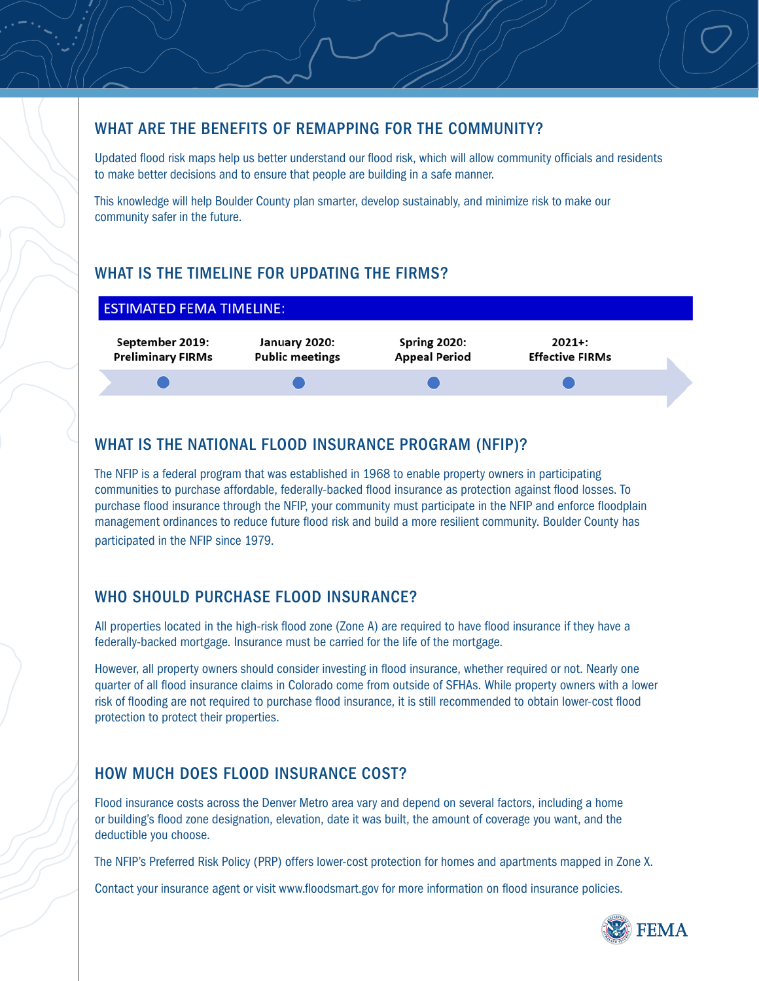#### WHAT ARE THE BENEFITS OF REMAPPING FOR THE COMMUNITY?

Updated flood risk maps help us better understand our flood risk, which will allow community officials and residents to make better decisions and to ensure that people are building in a safe manner.

This knowledge will help Boulder County plan smarter, develop sustainably, and minimize risk to make our community safer in the future.

# WHAT IS THE TIMELINE FOR UPDATING THE FIRMS?



# WHAT IS THE NATIONAL FLOOD INSURANCE PROGRAM (NFIP)?

The NFIP is a federal program that was established in 1968 to enable property owners in participating communities to purchase affordable, federally-backed flood insurance as protection against flood losses. To purchase flood insurance through the NFIP, your community must participate in the NFIP and enforce floodplain management ordinances to reduce future flood risk and build a more resilient community. Boulder County has participated in the NFIP since 1979.

# WHO SHOULD PURCHASE FLOOD INSURANCE?

All properties located in the high-risk flood zone (Zone A) are required to have flood insurance if they have a federally-backed mortgage. Insurance must be carried for the life of the mortgage.

However, all property owners should consider investing in flood insurance, whether required or not. Nearly one quarter of all flood insurance claims in Colorado come from outside of SFHAs. While property owners with a lower risk of flooding are not required to purchase flood insurance, it is still recommended to obtain lower-cost flood protection to protect their properties.

# HOW MUCH DOES FLOOD INSURANCE COST?

Flood insurance costs across the Denver Metro area vary and depend on several factors, including a home or building's flood zone designation, elevation, date it was built, the amount of coverage you want, and the deductible you choose.

The NFIP's Preferred Risk Policy (PRP) offers lower-cost protection for homes and apartments mapped in Zone X.

Contact your insurance agent or visit www.floodsmart.gov for more information on flood insurance policies.

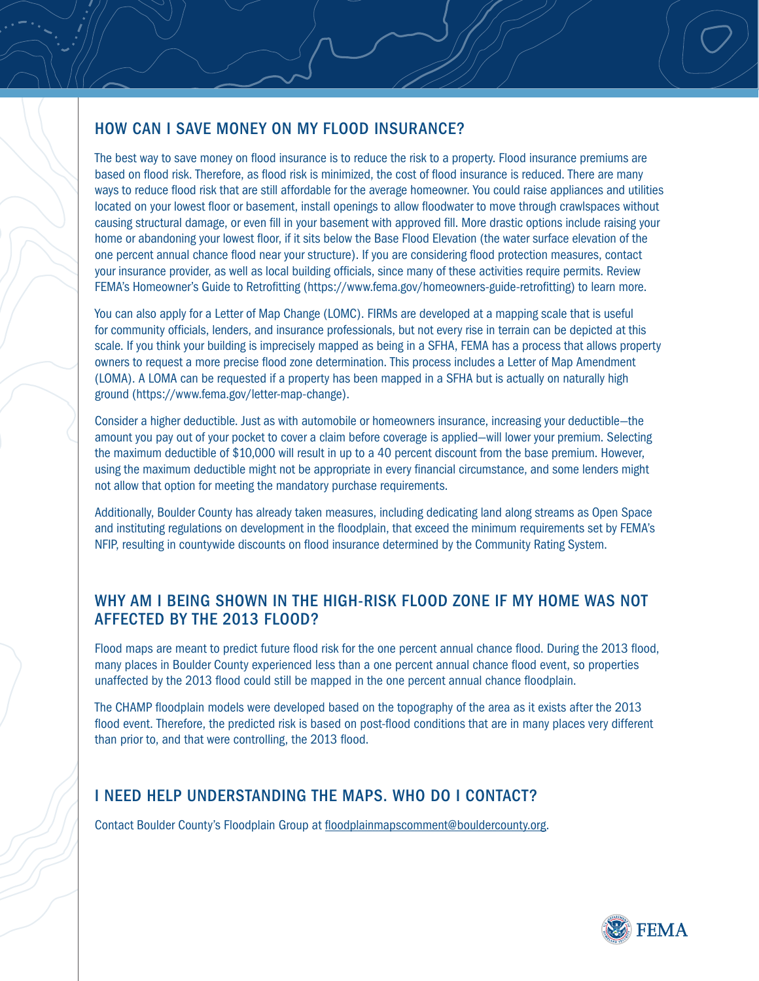#### HOW CAN I SAVE MONEY ON MY FLOOD INSURANCE?

The best way to save money on flood insurance is to reduce the risk to a property. Flood insurance premiums are based on flood risk. Therefore, as flood risk is minimized, the cost of flood insurance is reduced. There are many ways to reduce flood risk that are still affordable for the average homeowner. You could raise appliances and utilities located on your lowest floor or basement, install openings to allow floodwater to move through crawlspaces without causing structural damage, or even fill in your basement with approved fill. More drastic options include raising your home or abandoning your lowest floor, if it sits below the Base Flood Elevation (the water surface elevation of the one percent annual chance flood near your structure). If you are considering flood protection measures, contact your insurance provider, as well as local building officials, since many of these activities require permits. Review FEMA's Homeowner's Guide to Retrofitting (https://www.fema.gov/homeowners-guide-retrofitting) to learn more.

You can also apply for a Letter of Map Change (LOMC). FIRMs are developed at a mapping scale that is useful for community officials, lenders, and insurance professionals, but not every rise in terrain can be depicted at this scale. If you think your building is imprecisely mapped as being in a SFHA, FEMA has a process that allows property owners to request a more precise flood zone determination. This process includes a Letter of Map Amendment (LOMA). A LOMA can be requested if a property has been mapped in a SFHA but is actually on naturally high ground (https://www.fema.gov/letter-map-change).

Consider a higher deductible. Just as with automobile or homeowners insurance, increasing your deductible—the amount you pay out of your pocket to cover a claim before coverage is applied—will lower your premium. Selecting the maximum deductible of \$10,000 will result in up to a 40 percent discount from the base premium. However, using the maximum deductible might not be appropriate in every financial circumstance, and some lenders might not allow that option for meeting the mandatory purchase requirements.

Additionally, Boulder County has already taken measures, including dedicating land along streams as Open Space and instituting regulations on development in the floodplain, that exceed the minimum requirements set by FEMA's NFIP, resulting in countywide discounts on flood insurance determined by the Community Rating System.

## WHY AM I BEING SHOWN IN THE HIGH-RISK FLOOD ZONE IF MY HOME WAS NOT AFFECTED BY THE 2013 FLOOD?

Flood maps are meant to predict future flood risk for the one percent annual chance flood. During the 2013 flood, many places in Boulder County experienced less than a one percent annual chance flood event, so properties unaffected by the 2013 flood could still be mapped in the one percent annual chance floodplain.

The CHAMP floodplain models were developed based on the topography of the area as it exists after the 2013 flood event. Therefore, the predicted risk is based on post-flood conditions that are in many places very different than prior to, and that were controlling, the 2013 flood.

## I NEED HELP UNDERSTANDING THE MAPS. WHO DO I CONTACT?

Contact Boulder County's Floodplain Group at floodplainmapscomment@bouldercounty.org.